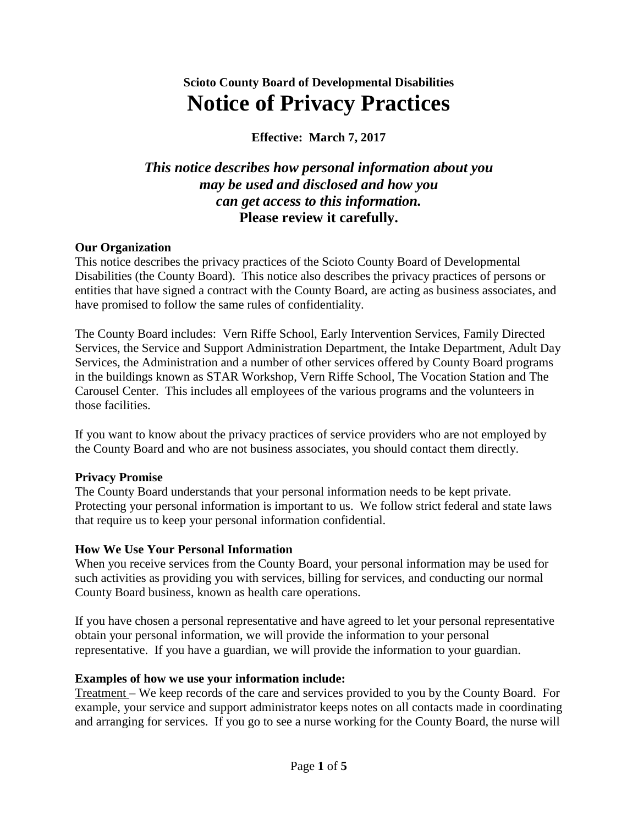# **Scioto County Board of Developmental Disabilities Notice of Privacy Practices**

**Effective: March 7, 2017**

## *This notice describes how personal information about you may be used and disclosed and how you can get access to this information.*  **Please review it carefully.**

#### **Our Organization**

This notice describes the privacy practices of the Scioto County Board of Developmental Disabilities (the County Board). This notice also describes the privacy practices of persons or entities that have signed a contract with the County Board, are acting as business associates, and have promised to follow the same rules of confidentiality.

The County Board includes: Vern Riffe School, Early Intervention Services, Family Directed Services, the Service and Support Administration Department, the Intake Department, Adult Day Services, the Administration and a number of other services offered by County Board programs in the buildings known as STAR Workshop, Vern Riffe School, The Vocation Station and The Carousel Center. This includes all employees of the various programs and the volunteers in those facilities.

If you want to know about the privacy practices of service providers who are not employed by the County Board and who are not business associates, you should contact them directly.

#### **Privacy Promise**

The County Board understands that your personal information needs to be kept private. Protecting your personal information is important to us. We follow strict federal and state laws that require us to keep your personal information confidential.

#### **How We Use Your Personal Information**

When you receive services from the County Board, your personal information may be used for such activities as providing you with services, billing for services, and conducting our normal County Board business, known as health care operations.

If you have chosen a personal representative and have agreed to let your personal representative obtain your personal information, we will provide the information to your personal representative. If you have a guardian, we will provide the information to your guardian.

### **Examples of how we use your information include:**

Treatment – We keep records of the care and services provided to you by the County Board. For example, your service and support administrator keeps notes on all contacts made in coordinating and arranging for services. If you go to see a nurse working for the County Board, the nurse will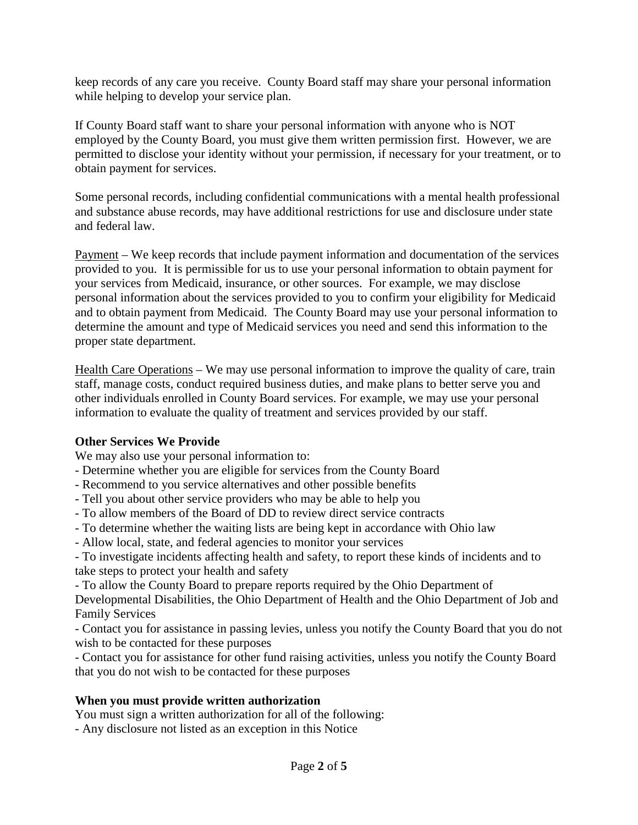keep records of any care you receive. County Board staff may share your personal information while helping to develop your service plan.

If County Board staff want to share your personal information with anyone who is NOT employed by the County Board, you must give them written permission first. However, we are permitted to disclose your identity without your permission, if necessary for your treatment, or to obtain payment for services.

Some personal records, including confidential communications with a mental health professional and substance abuse records, may have additional restrictions for use and disclosure under state and federal law.

Payment – We keep records that include payment information and documentation of the services provided to you. It is permissible for us to use your personal information to obtain payment for your services from Medicaid, insurance, or other sources. For example, we may disclose personal information about the services provided to you to confirm your eligibility for Medicaid and to obtain payment from Medicaid. The County Board may use your personal information to determine the amount and type of Medicaid services you need and send this information to the proper state department.

Health Care Operations – We may use personal information to improve the quality of care, train staff, manage costs, conduct required business duties, and make plans to better serve you and other individuals enrolled in County Board services. For example, we may use your personal information to evaluate the quality of treatment and services provided by our staff.

### **Other Services We Provide**

We may also use your personal information to:

- Determine whether you are eligible for services from the County Board
- Recommend to you service alternatives and other possible benefits
- Tell you about other service providers who may be able to help you
- To allow members of the Board of DD to review direct service contracts
- To determine whether the waiting lists are being kept in accordance with Ohio law
- Allow local, state, and federal agencies to monitor your services
- To investigate incidents affecting health and safety, to report these kinds of incidents and to take steps to protect your health and safety
- To allow the County Board to prepare reports required by the Ohio Department of

Developmental Disabilities, the Ohio Department of Health and the Ohio Department of Job and Family Services

- Contact you for assistance in passing levies, unless you notify the County Board that you do not wish to be contacted for these purposes

- Contact you for assistance for other fund raising activities, unless you notify the County Board that you do not wish to be contacted for these purposes

### **When you must provide written authorization**

You must sign a written authorization for all of the following:

- Any disclosure not listed as an exception in this Notice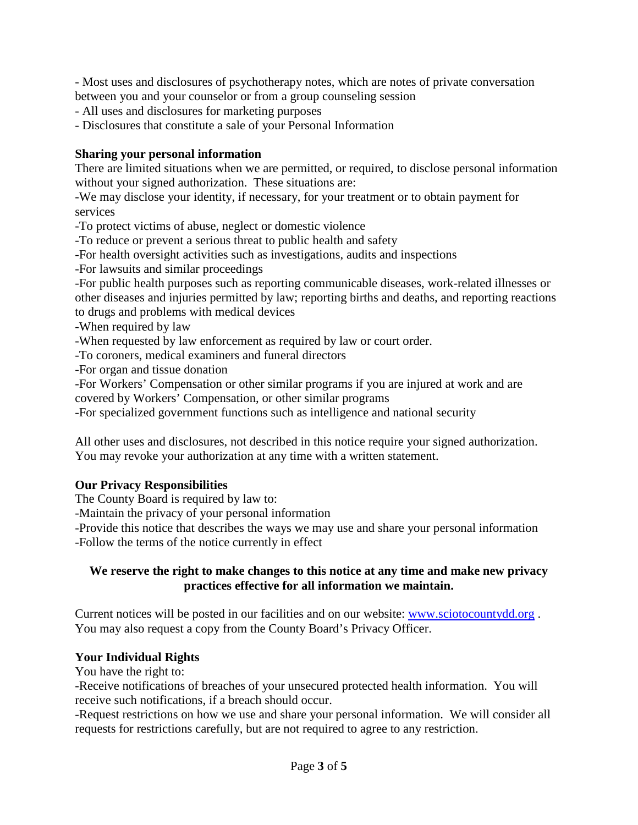- Most uses and disclosures of psychotherapy notes, which are notes of private conversation between you and your counselor or from a group counseling session

- All uses and disclosures for marketing purposes

- Disclosures that constitute a sale of your Personal Information

#### **Sharing your personal information**

There are limited situations when we are permitted, or required, to disclose personal information without your signed authorization. These situations are:

-We may disclose your identity, if necessary, for your treatment or to obtain payment for services

-To protect victims of abuse, neglect or domestic violence

-To reduce or prevent a serious threat to public health and safety

-For health oversight activities such as investigations, audits and inspections

-For lawsuits and similar proceedings

-For public health purposes such as reporting communicable diseases, work-related illnesses or other diseases and injuries permitted by law; reporting births and deaths, and reporting reactions to drugs and problems with medical devices

-When required by law

-When requested by law enforcement as required by law or court order.

-To coroners, medical examiners and funeral directors

-For organ and tissue donation

-For Workers' Compensation or other similar programs if you are injured at work and are covered by Workers' Compensation, or other similar programs

-For specialized government functions such as intelligence and national security

All other uses and disclosures, not described in this notice require your signed authorization. You may revoke your authorization at any time with a written statement.

### **Our Privacy Responsibilities**

The County Board is required by law to:

-Maintain the privacy of your personal information

-Provide this notice that describes the ways we may use and share your personal information -Follow the terms of the notice currently in effect

#### **We reserve the right to make changes to this notice at any time and make new privacy practices effective for all information we maintain.**

Current notices will be posted in our facilities and on our website: [www.sciotocountydd.org](http://www.sciotocountydd.org/) . You may also request a copy from the County Board's Privacy Officer.

### **Your Individual Rights**

You have the right to:

-Receive notifications of breaches of your unsecured protected health information. You will receive such notifications, if a breach should occur.

-Request restrictions on how we use and share your personal information. We will consider all requests for restrictions carefully, but are not required to agree to any restriction.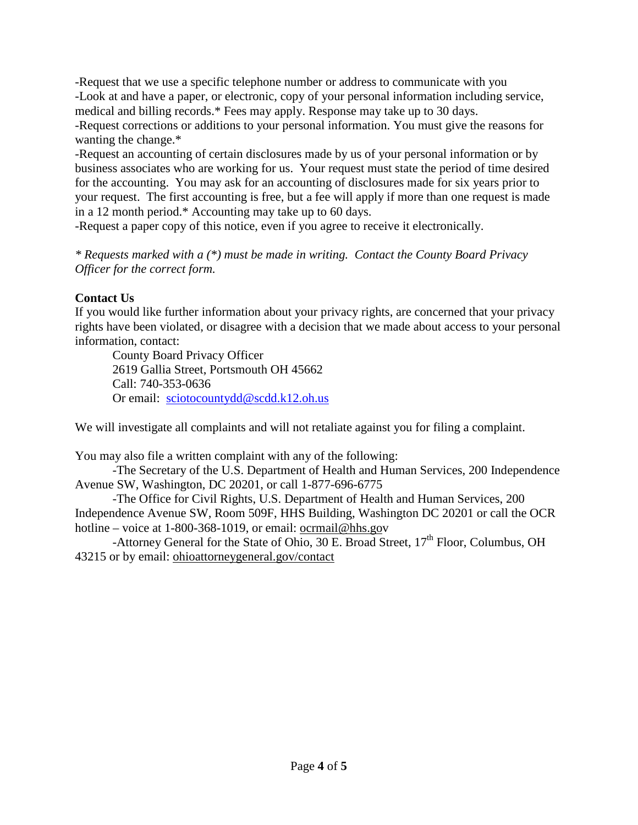-Request that we use a specific telephone number or address to communicate with you -Look at and have a paper, or electronic, copy of your personal information including service, medical and billing records.\* Fees may apply. Response may take up to 30 days.

-Request corrections or additions to your personal information. You must give the reasons for wanting the change.\*

-Request an accounting of certain disclosures made by us of your personal information or by business associates who are working for us. Your request must state the period of time desired for the accounting. You may ask for an accounting of disclosures made for six years prior to your request. The first accounting is free, but a fee will apply if more than one request is made in a 12 month period.\* Accounting may take up to 60 days.

-Request a paper copy of this notice, even if you agree to receive it electronically.

*\* Requests marked with a (\*) must be made in writing. Contact the County Board Privacy Officer for the correct form.*

### **Contact Us**

If you would like further information about your privacy rights, are concerned that your privacy rights have been violated, or disagree with a decision that we made about access to your personal information, contact:

County Board Privacy Officer 2619 Gallia Street, Portsmouth OH 45662 Call: 740-353-0636 Or email: [sciotocountydd@scdd.k12.oh.us](mailto:sciotocountydd@scdd.k12.oh.us)

We will investigate all complaints and will not retaliate against you for filing a complaint.

You may also file a written complaint with any of the following:

-The Secretary of the U.S. Department of Health and Human Services, 200 Independence Avenue SW, Washington, DC 20201, or call 1-877-696-6775

-The Office for Civil Rights, U.S. Department of Health and Human Services, 200 Independence Avenue SW, Room 509F, HHS Building, Washington DC 20201 or call the OCR hotline – voice at 1-800-368-1019, or email: ocrmail@hhs.gov

-Attorney General for the State of Ohio, 30 E. Broad Street, 17<sup>th</sup> Floor, Columbus, OH 43215 or by email: ohioattorneygeneral.gov/contact